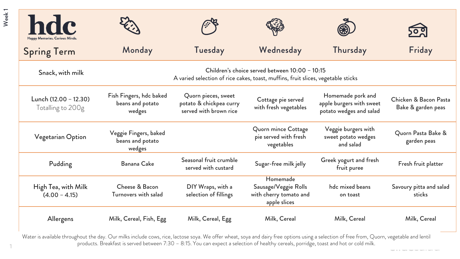| <b>hdc</b>                                 |                                                                                                                                      |                                                                          |                                                                            |                                                                          | <u>२००</u>                                  |  |
|--------------------------------------------|--------------------------------------------------------------------------------------------------------------------------------------|--------------------------------------------------------------------------|----------------------------------------------------------------------------|--------------------------------------------------------------------------|---------------------------------------------|--|
| <b>Spring Term</b>                         | Monday                                                                                                                               | Tuesday                                                                  | Wednesday                                                                  | Thursday                                                                 | Friday                                      |  |
| Snack, with milk                           | Children's choice served between $10:00 - 10:15$<br>A varied selection of rice cakes, toast, muffins, fruit slices, vegetable sticks |                                                                          |                                                                            |                                                                          |                                             |  |
| Lunch (12.00 - 12.30)<br>Totalling to 200g | Fish Fingers, hdc baked<br>beans and potato<br>wedges                                                                                | Quorn pieces, sweet<br>potato & chickpea curry<br>served with brown rice | Cottage pie served<br>with fresh vegetables                                | Homemade pork and<br>apple burgers with sweet<br>potato wedges and salad | Chicken & Bacon Pasta<br>Bake & garden peas |  |
| Vegetarian Option                          | Veggie Fingers, baked<br>beans and potato<br>wedges                                                                                  |                                                                          | Quorn mince Cottage<br>pie served with fresh<br>vegetables                 | Veggie burgers with<br>sweet potato wedges<br>and salad                  | Quorn Pasta Bake &<br>garden peas           |  |
| Pudding                                    | Banana Cake                                                                                                                          | Seasonal fruit crumble<br>served with custard                            | Sugar-free milk jelly                                                      | Greek yogurt and fresh<br>fruit puree                                    | Fresh fruit platter                         |  |
| High Tea, with Milk<br>$(4.00 - 4.15)$     | Cheese & Bacon<br>Turnovers with salad                                                                                               | DIY Wraps, with a<br>selection of fillings                               | Homemade<br>Sausage/Veggie Rolls<br>with cherry tomato and<br>apple slices | hdc mixed beans<br>on toast                                              | Savoury pitta and salad<br>sticks           |  |
| Allergens                                  | Milk, Cereal, Fish, Egg                                                                                                              | Milk, Cereal, Egg                                                        | Milk, Cereal                                                               | Milk, Cereal                                                             | Milk, Cereal                                |  |

 $1$  P Water is available throughout the day. Our milks include cows, rice, lactose soya. We offer wheat, soya and dairy free options using a selection of free from, Quorn, vegetable and lentil products. Breakfast is served between 7:30 – 8:15. You can expect a selection of healthy cereals, porridge, toast and hot or cold milk.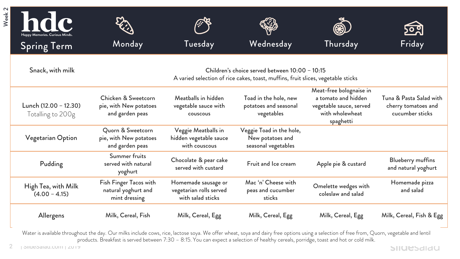| Week <sub>2</sub> | hdc<br>Happy Memories. Curious Minds.<br><b>Spring Term</b> | Monday                                                           | Tuesday                                                                                                                              | Wednesday                                                           | Thursday                                                                                                  | Friday                                                            |
|-------------------|-------------------------------------------------------------|------------------------------------------------------------------|--------------------------------------------------------------------------------------------------------------------------------------|---------------------------------------------------------------------|-----------------------------------------------------------------------------------------------------------|-------------------------------------------------------------------|
|                   | Snack, with milk                                            |                                                                  | Children's choice served between $10:00 - 10:15$<br>A varied selection of rice cakes, toast, muffins, fruit slices, vegetable sticks |                                                                     |                                                                                                           |                                                                   |
|                   | Lunch (12.00 - 12.30)<br>Totalling to 200g                  | Chicken & Sweetcorn<br>pie, with New potatoes<br>and garden peas | Meatballs in hidden<br>vegetable sauce with<br>couscous                                                                              | Toad in the hole, new<br>potatoes and seasonal<br>vegetables        | Meat-free bolognaise in<br>a tomato and hidden<br>vegetable sauce, served<br>with wholewheat<br>spaghetti | Tuna & Pasta Salad with<br>cherry tomatoes and<br>cucumber sticks |
|                   | Vegetarian Option                                           | Quorn & Sweetcorn<br>pie, with New potatoes<br>and garden peas   | Veggie Meatballs in<br>hidden vegetable sauce<br>with couscous                                                                       | Veggie Toad in the hole,<br>New potatoes and<br>seasonal vegetables |                                                                                                           |                                                                   |
|                   | Pudding                                                     | Summer fruits<br>served with natural<br>yoghurt                  | Chocolate & pear cake<br>served with custard                                                                                         | Fruit and Ice cream                                                 | Apple pie & custard                                                                                       | <b>Blueberry muffins</b><br>and natural yoghurt                   |
|                   | High Tea, with Milk<br>$(4.00 - 4.15)$                      | Fish Finger Tacos with<br>natural yoghurt and<br>mint dressing   | Homemade sausage or<br>vegetarian rolls served<br>with salad sticks                                                                  | Mac 'n' Cheese with<br>peas and cucumber<br>sticks                  | Omelette wedges with<br>coleslaw and salad                                                                | Homemade pizza<br>and salad                                       |
|                   | Allergens                                                   | Milk, Cereal, Fish                                               | Milk, Cereal, Egg                                                                                                                    | Milk, Cereal, Egg                                                   | Milk, Cereal, Egg                                                                                         | Milk, Cereal, Fish & Egg                                          |

Water is available throughout the day. Our milks include cows, rice, lactose soya. We offer wheat, soya and dairy free options using a selection of free from, Quorn, vegetable and lentil products. Breakfast is served between 7:30 – 8:15. You can expect a selection of healthy cereals, porridge, toast and hot or cold milk.